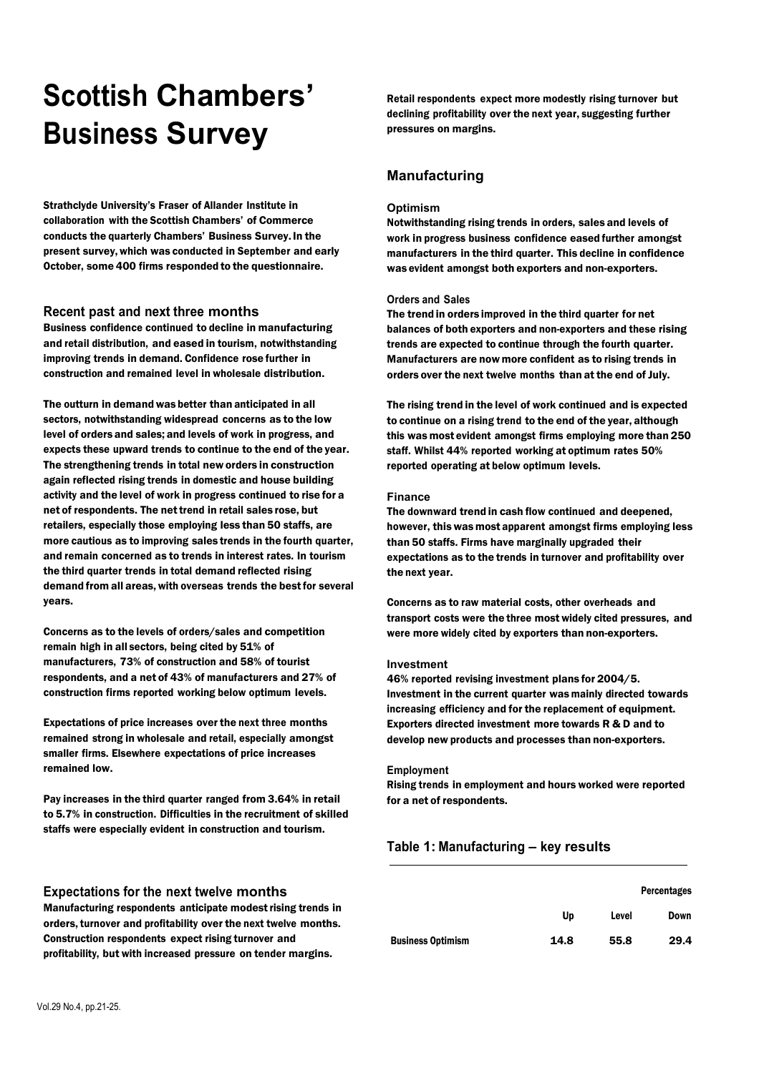# **Scottish Chambers' Business Survey**

Strathclyde University's Fraser of Allander Institute in collaboration with the Scottish Chambers' of Commerce conducts the quarterly Chambers' Business Survey.In the present survey, which was conducted in September and early October, some 400 firms responded to the questionnaire.

# **Recent past and next three months**

Business confidence continued to decline in manufacturing and retail distribution, and eased in tourism, notwithstanding improving trends in demand. Confidence rose further in construction and remained level in wholesale distribution.

The outturn in demand was better than anticipated in all sectors, notwithstanding widespread concerns as to the low level of orders and sales; and levels of work in progress, and expects these upward trends to continue to the end of the year. The strengthening trends in total new orders in construction again reflected rising trends in domestic and house building activity and the level of work in progress continued to rise for a net of respondents. The net trend in retail sales rose, but retailers, especially those employing less than 50 staffs, are more cautious as to improving sales trends in the fourth quarter, and remain concerned as to trends in interest rates. In tourism the third quarter trends in total demand reflected rising demand from all areas, with overseas trends the best for several years.

Concerns as to the levels of orders/sales and competition remain high in all sectors, being cited by 51% of manufacturers, 73% of construction and 58% of tourist respondents, and a net of 43% of manufacturers and 27% of construction firms reported working below optimum levels.

Expectations of price increases over the next three months remained strong in wholesale and retail, especially amongst smaller firms. Elsewhere expectations of price increases remained low.

Pay increases in the third quarter ranged from 3.64% in retail to 5.7% in construction. Difficulties in the recruitment of skilled staffs were especially evident in construction and tourism.

Retail respondents expect more modestly rising turnover but declining profitability over the next year, suggesting further pressures on margins.

# **Manufacturing**

#### **Optimism**

Notwithstanding rising trends in orders, sales and levels of work in progress business confidence eased further amongst manufacturers in the third quarter. This decline in confidence was evident amongst both exporters and non-exporters.

#### **Orders and Sales**

The trend in orders improved in the third quarter for net balances of both exporters and non-exporters and these rising trends are expected to continue through the fourth quarter. Manufacturers are now more confident as to rising trends in orders over the next twelve months than at the end of July.

The rising trend in the level of work continued and is expected to continue on a rising trend to the end of the year, although this was most evident amongst firms employing more than 250 staff. Whilst 44% reported working at optimum rates 50% reported operating at below optimum levels.

#### **Finance**

The downward trend in cash flow continued and deepened, however, this was most apparent amongst firms employing less than 50 staffs. Firms have marginally upgraded their expectations as to the trends in turnover and profitability over the next year.

Concerns as to raw material costs, other overheads and transport costs were the three most widely cited pressures, and were more widely cited by exporters than non-exporters.

#### **Investment**

46% reported revising investment plans for 2004/5. Investment in the current quarter was mainly directed towards increasing efficiency and for the replacement of equipment. Exporters directed investment more towards R & D and to develop new products and processes than non-exporters.

#### **Employment**

Rising trends in employment and hours worked were reported for a net of respondents.

# **Table 1: Manufacturing – key results**

|                          |      |       | <b>Percentages</b> |
|--------------------------|------|-------|--------------------|
|                          | Up   | Level | <b>Down</b>        |
| <b>Business Optimism</b> | 14.8 | 55.8  | 29.4               |

# **Expectations for the next twelve months**

Manufacturing respondents anticipate modestrising trends in orders,turnover and profitability over the next twelve months. Construction respondents expect rising turnover and profitability, but with increased pressure on tender margins.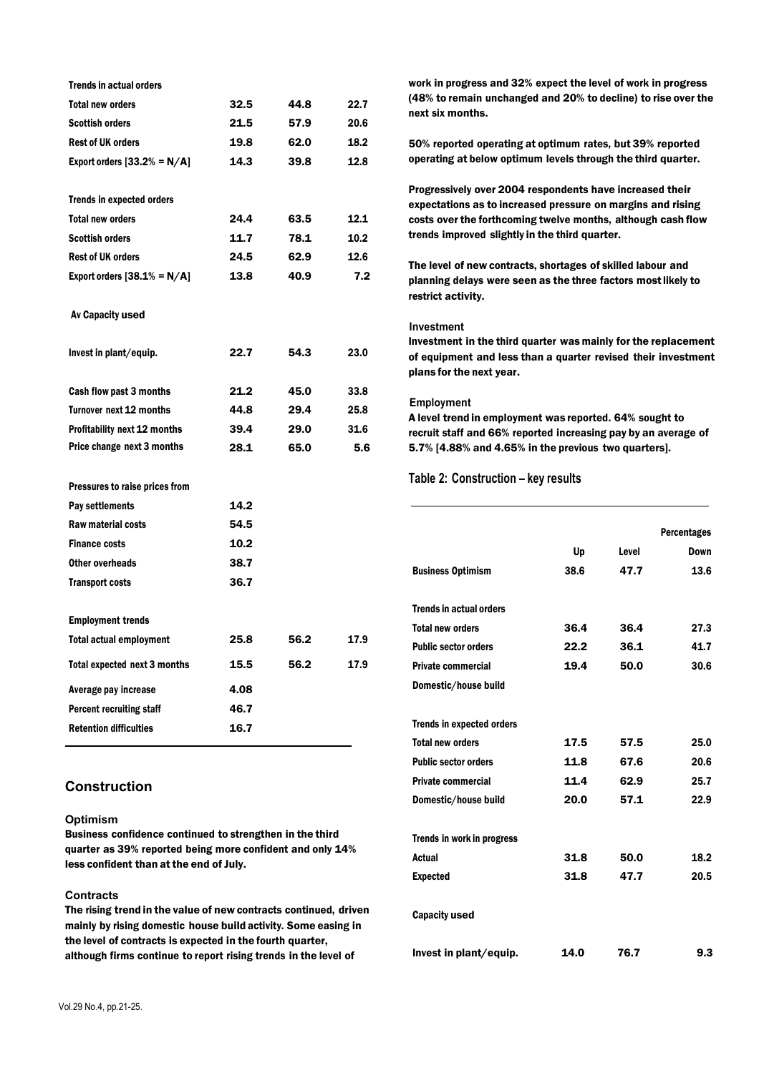| <b>Trends in actual orders</b>      |      |      |      |
|-------------------------------------|------|------|------|
| <b>Total new orders</b>             | 32.5 | 44.8 | 22.7 |
| <b>Scottish orders</b>              | 21.5 | 57.9 | 20.6 |
| <b>Rest of UK orders</b>            | 19.8 | 62.0 | 18.2 |
| Export orders $[33.2% = N/A]$       | 14.3 | 39.8 | 12.8 |
|                                     |      |      |      |
| <b>Trends in expected orders</b>    |      |      |      |
| <b>Total new orders</b>             | 24.4 | 63.5 | 12.1 |
| <b>Scottish orders</b>              | 11.7 | 78.1 | 10.2 |
| <b>Rest of UK orders</b>            | 24.5 | 62.9 | 12.6 |
| Export orders $[38.1% = N/A]$       | 13.8 | 40.9 | 7.2  |
|                                     |      |      |      |
| Av Capacity used                    |      |      |      |
| Invest in plant/equip.              | 22.7 | 54.3 | 23.0 |
| Cash flow past 3 months             | 21.2 | 45.0 | 33.8 |
| Turnover next 12 months             | 44.8 | 29.4 | 25.8 |
| Profitability next 12 months        | 39.4 | 29.0 | 31.6 |
| Price change next 3 months          | 28.1 | 65.0 | 5.6  |
| Pressures to raise prices from      |      |      |      |
| Pay settlements                     | 14.2 |      |      |
| <b>Raw material costs</b>           | 54.5 |      |      |
| <b>Finance costs</b>                | 10.2 |      |      |
| Other overheads                     | 38.7 |      |      |
| <b>Transport costs</b>              | 36.7 |      |      |
|                                     |      |      |      |
| <b>Employment trends</b>            |      |      |      |
| <b>Total actual employment</b>      | 25.8 | 56.2 | 17.9 |
| <b>Total expected next 3 months</b> | 15.5 | 56.2 | 17.9 |
| Average pay increase                | 4.08 |      |      |
| Percent recruiting staff            | 46.7 |      |      |
| <b>Retention difficulties</b>       | 16.7 |      |      |

# **Construction**

#### **Optimism**

Business confidence continued to strengthen in the third quarter as 39% reported being more confident and only 14% less confident than at the end of July.

# **Contracts**

The rising trend in the value of new contracts continued, driven mainly by rising domestic house build activity. Some easing in the level of contracts is expected in the fourth quarter, although firms continue to report rising trends in the level of

work in progress and 32% expect the level of work in progress (48% to remain unchanged and 20% to decline) to rise over the next six months.

50% reported operating at optimum rates, but 39% reported operating at below optimum levels through the third quarter.

Progressively over 2004 respondents have increased their expectations as to increased pressure on margins and rising costs over the forthcoming twelve months, although cash flow trends improved slightly in the third quarter.

The level of new contracts, shortages of skilled labour and planning delays were seen as the three factors mostlikely to restrict activity.

#### **Investment**

Investment in the third quarter was mainly for the replacement of equipment and less than a quarter revised their investment plans for the next year.

# **Employment**

A level trend in employment was reported. 64% sought to recruit staff and 66% reported increasing pay by an average of 5.7% [4.88% and 4.65% in the previous two quarters].

# **Table 2: Construction – key results**

|      |       | <b>Percentages</b> |
|------|-------|--------------------|
| Up   | Level | Down               |
| 38.6 | 47.7  | 13.6               |
|      |       |                    |
|      |       |                    |
| 36.4 | 36.4  | 27.3               |
| 22.2 | 36.1  | 41.7               |
| 19.4 | 50.0  | 30.6               |
|      |       |                    |
|      |       |                    |
|      |       |                    |
| 17.5 | 57.5  | 25.0               |
| 11.8 | 67.6  | 20.6               |
| 11.4 | 62.9  | 25.7               |
| 20.0 | 57.1  | 22.9               |
|      |       |                    |
|      |       |                    |
| 31.8 | 50.0  | 18.2               |
| 31.8 | 47.7  | 20.5               |
|      |       |                    |
|      |       |                    |
|      |       |                    |
| 14.0 | 76.7  | 9.3                |
|      |       |                    |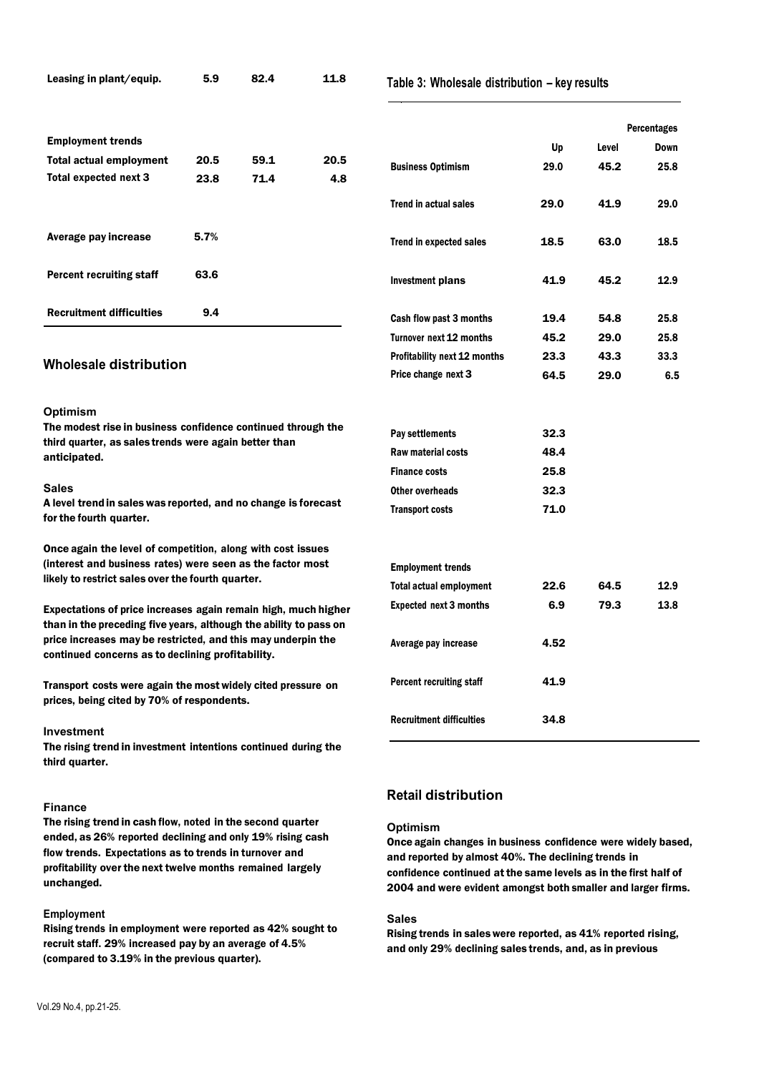| Leasing in plant/equip.                                                                                                                                                                | 5.9<br>82.4 | 11.8 | Table 3: Wholesale distribution - key results |                                 |      |       |                    |
|----------------------------------------------------------------------------------------------------------------------------------------------------------------------------------------|-------------|------|-----------------------------------------------|---------------------------------|------|-------|--------------------|
|                                                                                                                                                                                        |             |      |                                               |                                 |      |       | <b>Percentages</b> |
| <b>Employment trends</b>                                                                                                                                                               |             |      |                                               |                                 | Up   | Level | <b>Down</b>        |
| <b>Total actual employment</b>                                                                                                                                                         | 20.5        | 59.1 | 20.5                                          | <b>Business Optimism</b>        | 29.0 | 45.2  | 25.8               |
| Total expected next 3                                                                                                                                                                  | 23.8        | 71.4 | 4.8                                           |                                 |      |       |                    |
|                                                                                                                                                                                        |             |      |                                               | <b>Trend in actual sales</b>    | 29.0 | 41.9  | 29.0               |
| Average pay increase                                                                                                                                                                   | 5.7%        |      |                                               | <b>Trend in expected sales</b>  | 18.5 | 63.0  | 18.5               |
| <b>Percent recruiting staff</b>                                                                                                                                                        | 63.6        |      |                                               | <b>Investment plans</b>         | 41.9 | 45.2  | 12.9               |
| <b>Recruitment difficulties</b>                                                                                                                                                        | 9.4         |      |                                               | Cash flow past 3 months         | 19.4 | 54.8  | 25.8               |
|                                                                                                                                                                                        |             |      |                                               | Turnover next 12 months         | 45.2 | 29.0  | 25.8               |
| Wholesale distribution                                                                                                                                                                 |             |      | <b>Profitability next 12 months</b>           | 23.3                            | 43.3 | 33.3  |                    |
|                                                                                                                                                                                        |             |      |                                               | Price change next 3             | 64.5 | 29.0  | 6.5                |
| <b>Optimism</b>                                                                                                                                                                        |             |      |                                               |                                 |      |       |                    |
| The modest rise in business confidence continued through the<br>third quarter, as sales trends were again better than                                                                  |             |      |                                               | Pay settlements                 | 32.3 |       |                    |
| anticipated.                                                                                                                                                                           |             |      |                                               | Raw material costs              | 48.4 |       |                    |
|                                                                                                                                                                                        |             |      |                                               | <b>Finance costs</b>            | 25.8 |       |                    |
| <b>Sales</b>                                                                                                                                                                           |             |      |                                               | Other overheads                 | 32.3 |       |                    |
| A level trend in sales was reported, and no change is forecast<br>for the fourth quarter.                                                                                              |             |      |                                               | <b>Transport costs</b>          |      |       |                    |
| Once again the level of competition, along with cost issues                                                                                                                            |             |      |                                               |                                 |      |       |                    |
| (interest and business rates) were seen as the factor most                                                                                                                             |             |      |                                               | <b>Employment trends</b>        |      |       |                    |
| likely to restrict sales over the fourth quarter.                                                                                                                                      |             |      |                                               | <b>Total actual employment</b>  | 22.6 | 64.5  | 12.9               |
| Expectations of price increases again remain high, much higher                                                                                                                         |             |      |                                               | <b>Expected next 3 months</b>   | 6.9  | 79.3  | 13.8               |
| than in the preceding five years, although the ability to pass on<br>price increases may be restricted, and this may underpin the<br>continued concerns as to declining profitability. |             |      |                                               | Average pay increase            | 4.52 |       |                    |
| Transport costs were again the most widely cited pressure on<br>prices, being cited by 70% of respondents.                                                                             |             |      |                                               | <b>Percent recruiting staff</b> | 41.9 |       |                    |
|                                                                                                                                                                                        |             |      |                                               | <b>Recruitment difficulties</b> | 34.8 |       |                    |

#### **Investment**

The rising trend in investment intentions continued during the third quarter.

# **Finance**

The rising trend in cash flow, noted in the second quarter ended, as 26% reported declining and only 19% rising cash flow trends. Expectations as to trends in turnover and profitability over the next twelve months remained largely unchanged.

# **Employment**

Rising trends in employment were reported as 42% sought to recruit staff. 29% increased pay by an average of 4.5% (compared to 3.19% in the previous quarter).

# **Retail distribution**

# **Optimism**

Once again changes in business confidence were widely based, and reported by almost 40%. The declining trends in confidence continued at the same levels as in the first half of 2004 and were evident amongst both smaller and larger firms.

# **Sales**

Rising trends in sales were reported, as 41% reported rising, and only 29% declining sales trends, and, as in previous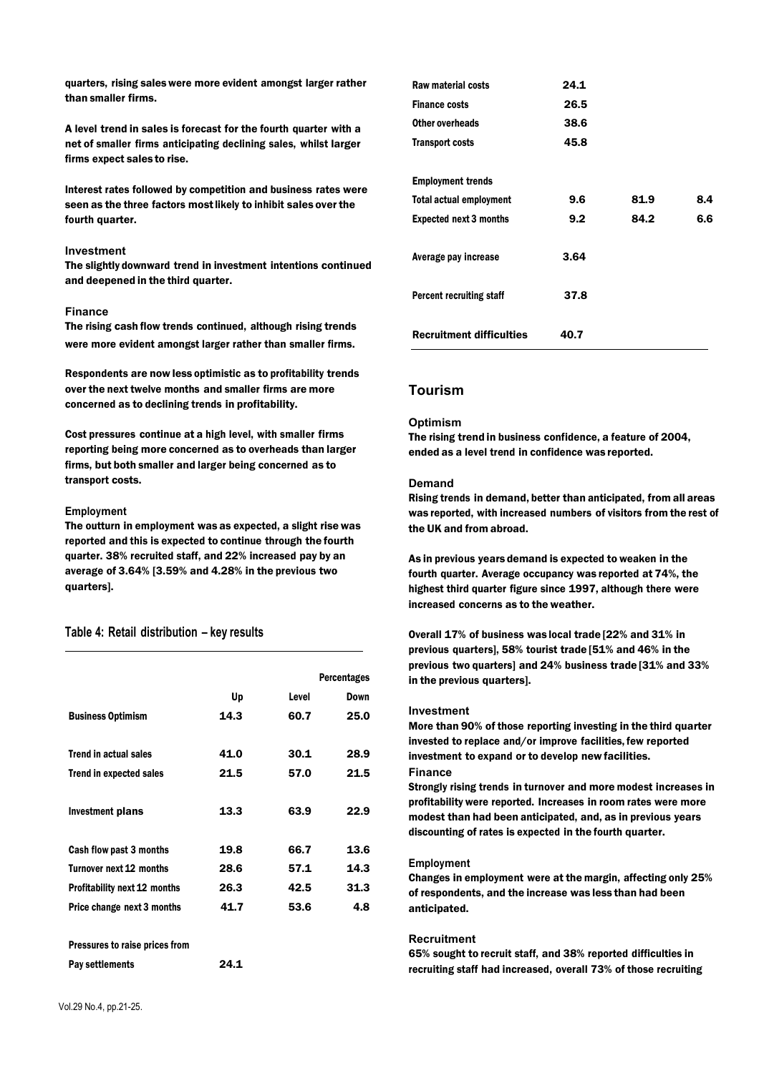quarters, rising sales were more evident amongst larger rather than smaller firms.

A level trend in sales is forecast for the fourth quarter with a net of smaller firms anticipating declining sales, whilst larger firms expect sales to rise.

Interest rates followed by competition and business rates were seen as the three factors most likely to inhibit sales over the fourth quarter.

#### **Investment**

The slightly downward trend in investment intentions continued and deepened in the third quarter.

#### **Finance**

The rising cash flow trends continued, although rising trends were more evident amongst larger rather than smaller firms.

Respondents are now less optimistic as to profitability trends over the next twelve months and smaller firms are more concerned as to declining trends in profitability.

Cost pressures continue at a high level, with smaller firms reporting being more concerned as to overheads than larger firms, but both smaller and larger being concerned as to transport costs.

#### **Employment**

The outturn in employment was as expected, a slight rise was reported and this is expected to continue through the fourth quarter. 38% recruited staff, and 22% increased pay by an average of 3.64% [3.59% and 4.28% in the previous two quarters].

# **Table 4: Retail distribution – key results**

|                                     |      |       | <b>Percentages</b> |
|-------------------------------------|------|-------|--------------------|
|                                     | Up   | Level | Down               |
| <b>Business Optimism</b>            | 14.3 | 60.7  | 25.0               |
|                                     |      |       |                    |
| <b>Trend in actual sales</b>        | 41.0 | 30.1  | 28.9               |
| <b>Trend in expected sales</b>      | 21.5 | 57.0  | 21.5               |
|                                     |      |       |                    |
| Investment plans                    | 13.3 | 63.9  | 22.9               |
|                                     |      |       |                    |
| Cash flow past 3 months             | 19.8 | 66.7  | 13.6               |
| Turnover next 12 months             | 28.6 | 57.1  | 14.3               |
| <b>Profitability next 12 months</b> | 26.3 | 42.5  | 31.3               |
| Price change next 3 months          | 41.7 | 53.6  | 4.8                |
|                                     |      |       |                    |
| Pressures to raise prices from      |      |       |                    |
| Pay settlements                     | 24.1 |       |                    |

| Raw material costs              | 24.1 |      |     |
|---------------------------------|------|------|-----|
| <b>Finance costs</b>            | 26.5 |      |     |
| Other overheads                 | 38.6 |      |     |
| <b>Transport costs</b>          | 45.8 |      |     |
|                                 |      |      |     |
| <b>Employment trends</b>        |      |      |     |
| <b>Total actual employment</b>  | 9.6  | 81.9 | 8.4 |
| <b>Expected next 3 months</b>   | 9.2  | 84.2 | 6.6 |
|                                 |      |      |     |
| Average pay increase            | 3.64 |      |     |
|                                 |      |      |     |
| <b>Percent recruiting staff</b> | 37.8 |      |     |
|                                 |      |      |     |
| <b>Recruitment difficulties</b> | 40.7 |      |     |

# **Tourism**

#### **Optimism**

The rising trend in business confidence, a feature of 2004, ended as a level trend in confidence was reported.

#### **Demand**

Rising trends in demand, better than anticipated, from all areas was reported, with increased numbers of visitors from the rest of the UK and from abroad.

As in previous years demand is expected to weaken in the fourth quarter. Average occupancy was reported at 74%, the highest third quarter figure since 1997, although there were increased concerns as to the weather.

Overall 17% of business was local trade [22% and 31% in previous quarters], 58% tourist trade [51% and 46% in the previous two quarters] and 24% business trade [31% and 33% in the previous quarters].

#### **Investment**

More than 90% of those reporting investing in the third quarter invested to replace and/or improve facilities, few reported investment to expand or to develop new facilities. **Finance**

Strongly rising trends in turnover and more modest increases in profitability were reported. Increases in room rates were more modest than had been anticipated, and, as in previous years discounting of rates is expected in the fourth quarter.

#### **Employment**

Changes in employment were at the margin, affecting only 25% of respondents, and the increase was less than had been anticipated.

#### **Recruitment**

65% sought to recruit staff, and 38% reported difficulties in recruiting staff had increased, overall 73% of those recruiting